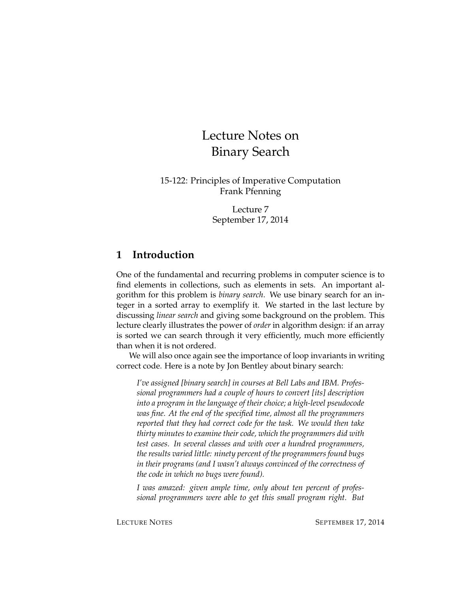# Lecture Notes on Binary Search

15-122: Principles of Imperative Computation Frank Pfenning

> Lecture 7 September 17, 2014

### **1 Introduction**

One of the fundamental and recurring problems in computer science is to find elements in collections, such as elements in sets. An important algorithm for this problem is *binary search*. We use binary search for an integer in a sorted array to exemplify it. We started in the last lecture by discussing *linear search* and giving some background on the problem. This lecture clearly illustrates the power of *order* in algorithm design: if an array is sorted we can search through it very efficiently, much more efficiently than when it is not ordered.

We will also once again see the importance of loop invariants in writing correct code. Here is a note by Jon Bentley about binary search:

*I've assigned [binary search] in courses at Bell Labs and IBM. Professional programmers had a couple of hours to convert [its] description into a program in the language of their choice; a high-level pseudocode was fine. At the end of the specified time, almost all the programmers reported that they had correct code for the task. We would then take thirty minutes to examine their code, which the programmers did with test cases. In several classes and with over a hundred programmers, the results varied little: ninety percent of the programmers found bugs in their programs (and I wasn't always convinced of the correctness of the code in which no bugs were found).*

*I was amazed: given ample time, only about ten percent of professional programmers were able to get this small program right. But*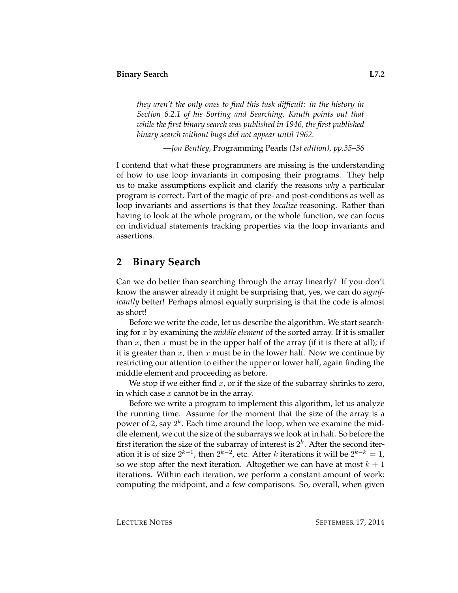*they aren't the only ones to find this task difficult: in the history in Section 6.2.1 of his Sorting and Searching, Knuth points out that while the first binary search was published in 1946, the first published binary search without bugs did not appear until 1962.*

*—Jon Bentley,* Programming Pearls *(1st edition), pp.35–36*

I contend that what these programmers are missing is the understanding of how to use loop invariants in composing their programs. They help us to make assumptions explicit and clarify the reasons *why* a particular program is correct. Part of the magic of pre- and post-conditions as well as loop invariants and assertions is that they *localize* reasoning. Rather than having to look at the whole program, or the whole function, we can focus on individual statements tracking properties via the loop invariants and assertions.

#### **2 Binary Search**

Can we do better than searching through the array linearly? If you don't know the answer already it might be surprising that, yes, we can do *significantly* better! Perhaps almost equally surprising is that the code is almost as short!

Before we write the code, let us describe the algorithm. We start searching for x by examining the *middle element* of the sorted array. If it is smaller than x, then x must be in the upper half of the array (if it is there at all); if it is greater than  $x$ , then  $x$  must be in the lower half. Now we continue by restricting our attention to either the upper or lower half, again finding the middle element and proceeding as before.

We stop if we either find  $x$ , or if the size of the subarray shrinks to zero, in which case  $x$  cannot be in the array.

Before we write a program to implement this algorithm, let us analyze the running time. Assume for the moment that the size of the array is a power of 2, say  $2^k$ . Each time around the loop, when we examine the middle element, we cut the size of the subarrays we look at in half. So before the first iteration the size of the subarray of interest is  $2^k$ . After the second iteration it is of size  $2^{k-1}$ , then  $2^{k-2}$ , etc. After  $k$  iterations it will be  $2^{k-k} = 1$ , so we stop after the next iteration. Altogether we can have at most  $k + 1$ iterations. Within each iteration, we perform a constant amount of work: computing the midpoint, and a few comparisons. So, overall, when given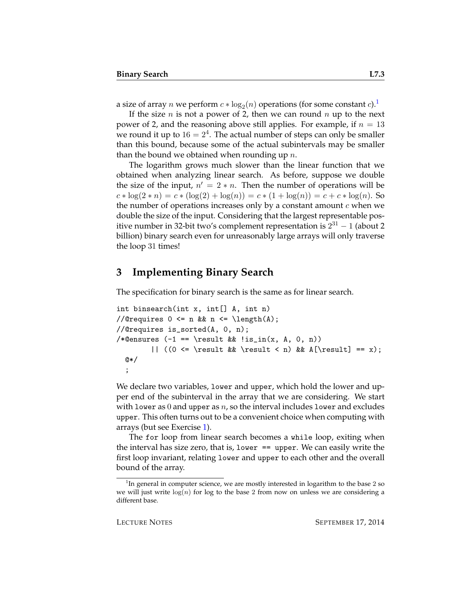a size of array  $n$  we perform  $c * \log_2(n)$  operations (for some constant  $c$ ). $^1$  $^1$ 

If the size *n* is not a power of 2, then we can round *n* up to the next power of 2, and the reasoning above still applies. For example, if  $n = 13$ we round it up to  $16 = 2^4$ . The actual number of steps can only be smaller than this bound, because some of the actual subintervals may be smaller than the bound we obtained when rounding up  $n$ .

The logarithm grows much slower than the linear function that we obtained when analyzing linear search. As before, suppose we double the size of the input,  $n' = 2 * n$ . Then the number of operations will be  $c * \log(2 * n) = c * (\log(2) + \log(n)) = c * (1 + \log(n)) = c + c * \log(n)$ . So the number of operations increases only by a constant amount  $c$  when we double the size of the input. Considering that the largest representable positive number in 32-bit two's complement representation is  $2^{31} - 1$  (about 2 billion) binary search even for unreasonably large arrays will only traverse the loop 31 times!

### **3 Implementing Binary Search**

The specification for binary search is the same as for linear search.

```
int binsearch(int x, int[] A, int n)
//@requires 0 \leq n && n \leq \leq \lambda(1);
//@requires is_sorted(A, 0, n);
/*@ensures (-1 == \result \& \lis_in(x, A, 0, n))|| ((0 \le \result \& \result \le n) \& A[\result] == x);@*/
  ;
```
We declare two variables, lower and upper, which hold the lower and upper end of the subinterval in the array that we are considering. We start with lower as 0 and upper as  $n$ , so the interval includes lower and excludes upper. This often turns out to be a convenient choice when computing with arrays (but see Exercise [1\)](#page-14-0).

The for loop from linear search becomes a while loop, exiting when the interval has size zero, that is, lower == upper. We can easily write the first loop invariant, relating lower and upper to each other and the overall bound of the array.

<span id="page-2-0"></span> $1$ In general in computer science, we are mostly interested in logarithm to the base 2 so we will just write  $log(n)$  for log to the base 2 from now on unless we are considering a different base.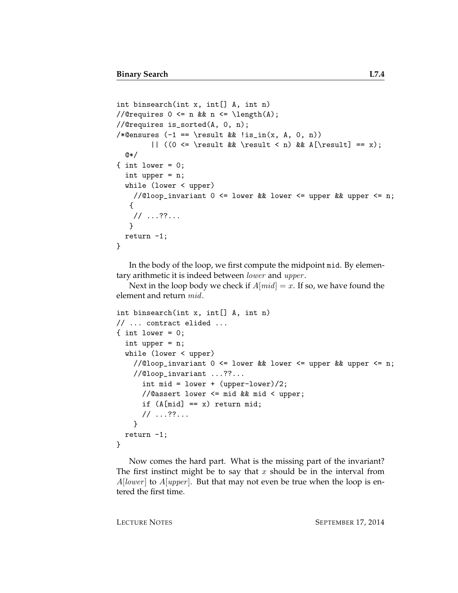```
int binsearch(int x, int [] A, int n)
//@requires 0 \leq n && n \leq \leq \text{length}(A);
//@requires is_sorted(A, 0, n);
/*@ensures (-1 == \result \& !is_in(x, A, 0, n))|| ((0 <= \result && \result < n) && A[\result] == x);
  @*/
\{ int lower = 0;
  int upper = n;
  while (lower < upper)
    //@loop_invariant 0 <= lower && lower <= upper && upper <= n;
   {
    // ...??...
   }
  return -1;
}
```
In the body of the loop, we first compute the midpoint mid. By elementary arithmetic it is indeed between lower and upper.

Next in the loop body we check if  $A[mid] = x$ . If so, we have found the element and return mid.

```
int binsearch(int x, int[] A, int n)
// ... contract elided ...
\{ int lower = 0;
  int upper = n;
  while (lower < upper)
    //@loop_invariant 0 \le lower && lower \le upper && upper \le n;
    //@loop_invariant ...??...
      int mid = lower + (upper-lower)/2;
      //@assert lower <= mid && mid < upper;
      if (A[\text{mid}] == x) return mid;
      // ...??...
    }
  return -1;
}
```
Now comes the hard part. What is the missing part of the invariant? The first instinct might be to say that x should be in the interval from  $A[lower]$  to  $A[upper]$ . But that may not even be true when the loop is entered the first time.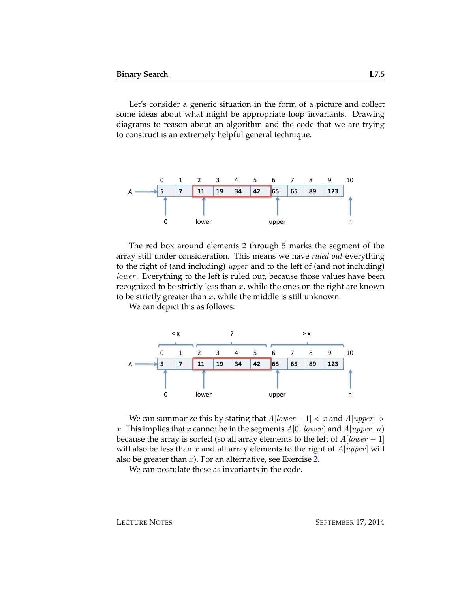Let's consider a generic situation in the form of a picture and collect some ideas about what might be appropriate loop invariants. Drawing diagrams to reason about an algorithm and the code that we are trying to construct is an extremely helpful general technique.



The red box around elements 2 through 5 marks the segment of the array still under consideration. This means we have *ruled out* everything to the right of (and including) upper and to the left of (and not including) lower. Everything to the left is ruled out, because those values have been recognized to be strictly less than  $x$ , while the ones on the right are known to be strictly greater than  $x$ , while the middle is still unknown.

We can depict this as follows:



We can summarize this by stating that  $A[lower-1] < x$  and  $A[upper] >$ x. This implies that x cannot be in the segments  $A[0..lower)$  and  $A[upper..n)$ because the array is sorted (so all array elements to the left of  $A[lower-1]$ will also be less than x and all array elements to the right of  $A[upper]$  will also be greater than  $x$ ). For an alternative, see Exercise [2.](#page-14-1)

We can postulate these as invariants in the code.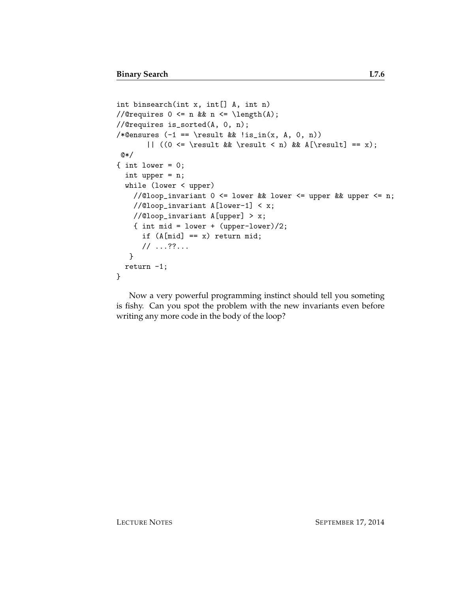```
int binsearch(int x, int[] A, int n)
//@requires 0 \leq n && n \leq \operatorname{length}(A);
//@requires is_sorted(A, 0, n);
/*@ensures (-1 == \result \& \lis_in(x, A, 0, n))|| ((0 <= \result && \result < n) && A[\result] == x);
@*/
\{ int lower = 0;
  int upper = n;
  while (lower < upper)
    //@loop_invariant 0 <= lower && lower <= upper && upper <= n;
    //@loop_invariant A[lower-1] < x;
    //@loop_invariant A[upper] > x;
    { int mid = lower + (upper-lower)/2;
      if (A[\text{mid}] == x) return mid;
      // ...??...
   }
  return -1;
}
```
Now a very powerful programming instinct should tell you someting is fishy. Can you spot the problem with the new invariants even before writing any more code in the body of the loop?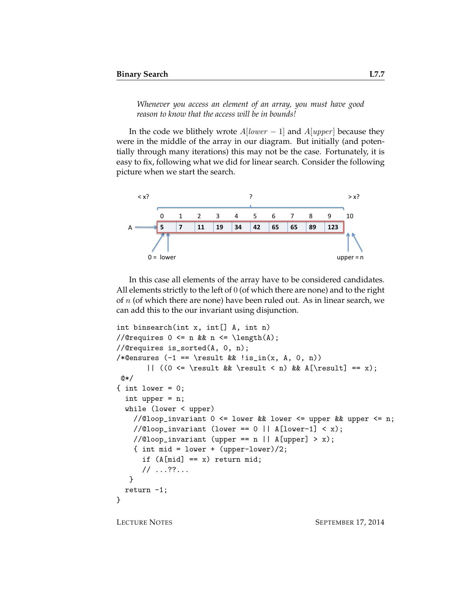*Whenever you access an element of an array, you must have good reason to know that the access will be in bounds!*

In the code we blithely wrote  $A[lower-1]$  and  $A[upper]$  because they were in the middle of the array in our diagram. But initially (and potentially through many iterations) this may not be the case. Fortunately, it is easy to fix, following what we did for linear search. Consider the following picture when we start the search.



In this case all elements of the array have to be considered candidates. All elements strictly to the left of 0 (of which there are none) and to the right of  $n$  (of which there are none) have been ruled out. As in linear search, we can add this to the our invariant using disjunction.

```
int binsearch(int x, int[] A, int n)
//@requires 0 \leq n && n \leq \operatorname{length}(A);
//@requires is_sorted(A, 0, n);
/*@ensures (-1 == \result \& !is_in(x, A, 0, n))|| ((0 <= \result && \result < n) && A[\result] == x);
@*/
\{ int lower = 0;
  int upper = n;
  while (lower < upper)
    //@loop\_invariant 0 <= lower && lower <= upper && upper <= n;
    //@loop_invariant (lower == 0 || A[lower-1] < x);
    //@loop_invariant (upper == n || A[upper] > x);
    { int mid = lower + (upper-lower)/2;
      if (A[\text{mid}] == x) return mid;
      // ...??...
   }
  return -1;
}
```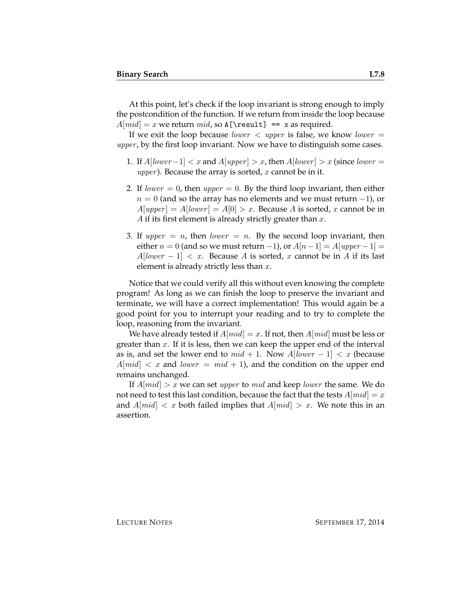At this point, let's check if the loop invariant is strong enough to imply the postcondition of the function. If we return from inside the loop because  $A[mid] = x$  we return mid, so A[\result] == x as required.

If we exit the loop because *lower*  $\langle$  upper is false, we know *lower*  $=$ upper, by the first loop invariant. Now we have to distinguish some cases.

- 1. If  $A[lower-1] < x$  and  $A[upper] > x$ , then  $A[lower] > x$  (since lower = *upper*). Because the array is sorted,  $x$  cannot be in it.
- 2. If lower  $= 0$ , then upper  $= 0$ . By the third loop invariant, then either  $n = 0$  (and so the array has no elements and we must return  $-1$ ), or  $A[upper] = A[lower] = A[0] > x$ . Because A is sorted, x cannot be in A if its first element is already strictly greater than  $x$ .
- 3. If upper  $= n$ , then lower  $= n$ . By the second loop invariant, then either  $n = 0$  (and so we must return -1), or  $A[n-1] = A[upper-1] =$  $A[lower-1] < x$ . Because A is sorted, x cannot be in A if its last element is already strictly less than  $x$ .

Notice that we could verify all this without even knowing the complete program! As long as we can finish the loop to preserve the invariant and terminate, we will have a correct implementation! This would again be a good point for you to interrupt your reading and to try to complete the loop, reasoning from the invariant.

We have already tested if  $A[mid] = x$ . If not, then  $A[mid]$  must be less or greater than  $x$ . If it is less, then we can keep the upper end of the interval as is, and set the lower end to  $mid + 1$ . Now  $A[lower - 1] < x$  (because  $A[\text{mid}] < x$  and lower =  $\text{mid} + 1$ ), and the condition on the upper end remains unchanged.

If  $A[\text{mid}] > x$  we can set upper to mid and keep lower the same. We do not need to test this last condition, because the fact that the tests  $A[mid] = x$ and  $A[mid] < x$  both failed implies that  $A[mid] > x$ . We note this in an assertion.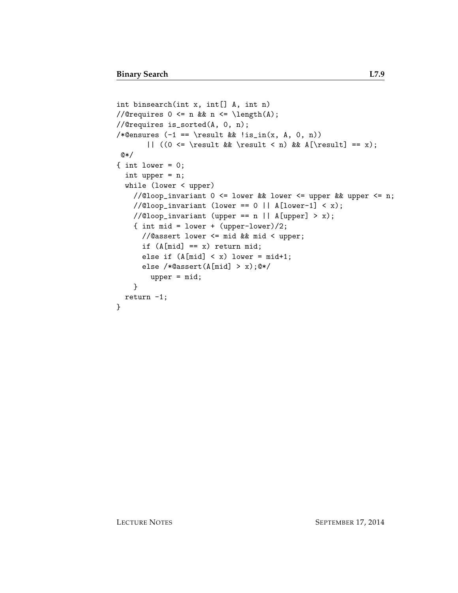```
int binsearch(int x, int[] A, int n)
//@requires 0 \leq n && n \leq \leq \lambda(A);
//@requires is_sorted(A, 0, n);
/*@ensures (-1 == \result \& \lis_in(x, A, 0, n))|| ((0 \le \result \& \result \le n) \& A[\result] == x);@*/
\{ int lower = 0;
  int upper = n;
  while (lower < upper)
    //@loop_invariant 0 \le lower && lower \le upper && upper \le n;
    //@loop\_invariant (lower == 0 || A[lower-1] < x);
    //@loop_invariant (upper == n || A[upper] > x);{ int mid = lower + (upper-lower)/2;
      //@assert lower <= mid && mid < upper;
      if (A[\text{mid}] == x) return mid;
      else if (A[\text{mid}] < x) lower = mid+1;
      else /*@assert(A[mid] > x);@*/
        upper = mid;
    }
 return -1;
}
```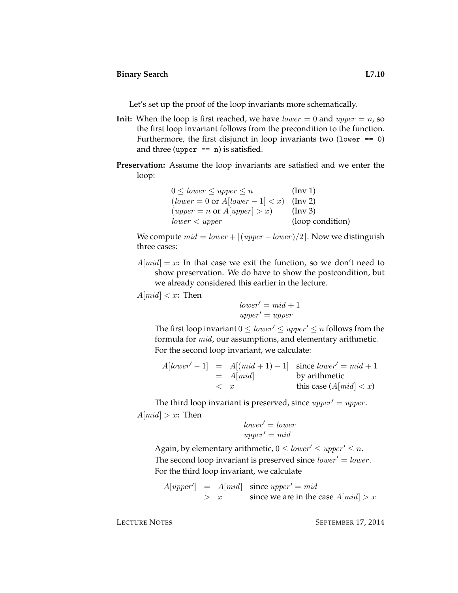Let's set up the proof of the loop invariants more schematically.

- **Init:** When the loop is first reached, we have  $lower = 0$  and  $upper = n$ , so the first loop invariant follows from the precondition to the function. Furthermore, the first disjunct in loop invariants two (lower  $== 0$ ) and three (upper  $== n$ ) is satisfied.
- **Preservation:** Assume the loop invariants are satisfied and we enter the loop:

| $0 \leq lower \leq upper \leq n$                   | $(\text{Inv } 1)$ |
|----------------------------------------------------|-------------------|
| $(lower = 0 \text{ or } A[lower - 1] < x)$ (Inv 2) |                   |
| $(upper = n \text{ or } A[upper] > x)$             | $(\ln v 3)$       |
| lower < upper                                      | (loop condition)  |

We compute  $mid = lower + \lfloor (upper - lower) / 2 \rfloor$ . Now we distinguish three cases:

 $A[mid] = x$ **:** In that case we exit the function, so we don't need to show preservation. We do have to show the postcondition, but we already considered this earlier in the lecture.

 $A[mid] < x$ : Then

 $lower' = mid + 1$  $upper' = upper$ 

The first loop invariant  $0 \leq lower' \leq upper' \leq n$  follows from the formula for mid, our assumptions, and elementary arithmetic. For the second loop invariant, we calculate:

A[lower <sup>0</sup> − 1] = A[(mid + 1) − 1] since lower <sup>0</sup> = mid + 1 = A[mid] by arithmetic < x this case (A[mid] < x)

The third loop invariant is preserved, since  $upper' = upper$ .  $A[mid] > x$ **:** Then

$$
lower' = lowerupper' = mid
$$

Again, by elementary arithmetic,  $0 \leq lower' \leq upper' \leq n$ . The second loop invariant is preserved since  $lower' = lower$ . For the third loop invariant, we calculate

 $A[upper'] = A[mid]$  since  $upper' = mid$  $> x$  since we are in the case  $A[mid] > x$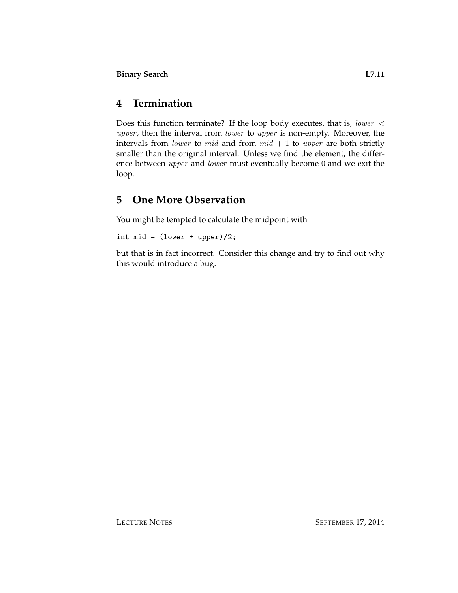## **4 Termination**

Does this function terminate? If the loop body executes, that is, lower < upper, then the interval from lower to upper is non-empty. Moreover, the intervals from *lower* to *mid* and from  $mid + 1$  to *upper* are both strictly smaller than the original interval. Unless we find the element, the difference between upper and lower must eventually become 0 and we exit the loop.

### **5 One More Observation**

You might be tempted to calculate the midpoint with

int mid =  $(lower + upper)/2$ ;

but that is in fact incorrect. Consider this change and try to find out why this would introduce a bug.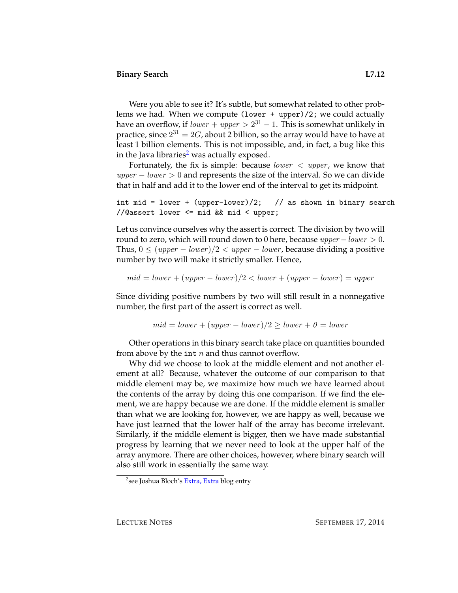Were you able to see it? It's subtle, but somewhat related to other problems we had. When we compute (lower + upper)/2; we could actually have an overflow, if  $\mathit{lower} + \mathit{upper} > 2^{31} - 1.$  This is somewhat unlikely in practice, since  $2^{31}=2G$ , about 2 billion, so the array would have to have at least 1 billion elements. This is not impossible, and, in fact, a bug like this in the Java libraries<sup>[2](#page-11-0)</sup> was actually exposed.

Fortunately, the fix is simple: because *lower*  $\langle$  *upper*, we know that  $upper - lower > 0$  and represents the size of the interval. So we can divide that in half and add it to the lower end of the interval to get its midpoint.

int mid = lower + (upper-lower)/2; // as shown in binary search //@assert lower <= mid && mid < upper;

Let us convince ourselves why the assert is correct. The division by two will round to zero, which will round down to 0 here, because  $upper-lower > 0$ . Thus,  $0 \leq (upper - lower)/2 < upper - lower$ , because dividing a positive number by two will make it strictly smaller. Hence,

$$
mid = lower + (upper - lower)/2 < lower + (upper - lower) = upper
$$

Since dividing positive numbers by two will still result in a nonnegative number, the first part of the assert is correct as well.

$$
mid = lower + (upper - lower)/2 \ge lower + 0 = lower
$$

Other operations in this binary search take place on quantities bounded from above by the int  $n$  and thus cannot overflow.

Why did we choose to look at the middle element and not another element at all? Because, whatever the outcome of our comparison to that middle element may be, we maximize how much we have learned about the contents of the array by doing this one comparison. If we find the element, we are happy because we are done. If the middle element is smaller than what we are looking for, however, we are happy as well, because we have just learned that the lower half of the array has become irrelevant. Similarly, if the middle element is bigger, then we have made substantial progress by learning that we never need to look at the upper half of the array anymore. There are other choices, however, where binary search will also still work in essentially the same way.

<span id="page-11-0"></span><sup>&</sup>lt;sup>2</sup>see Joshua Bloch's [Extra, Extra](http://googleresearch.blogspot.com/2006/06/extra-extra-read-all-about-it-nearly.html) blog entry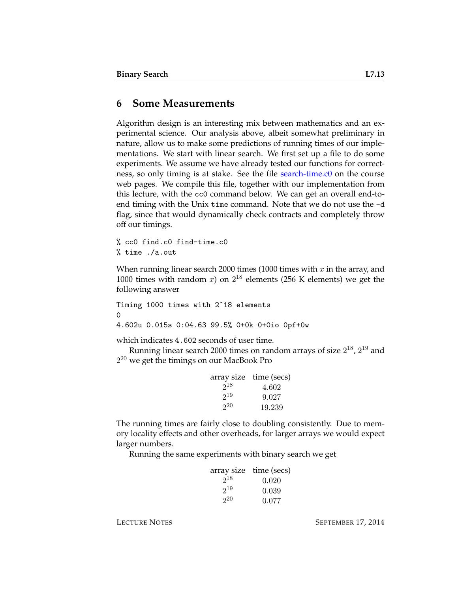#### **6 Some Measurements**

Algorithm design is an interesting mix between mathematics and an experimental science. Our analysis above, albeit somewhat preliminary in nature, allow us to make some predictions of running times of our implementations. We start with linear search. We first set up a file to do some experiments. We assume we have already tested our functions for correctness, so only timing is at stake. See the file [search-time.c0](http://www.cs.cmu.edu/~fp/courses/15122-f14/lectures/07-binsearch/search-time.c0) on the course web pages. We compile this file, together with our implementation from this lecture, with the cc0 command below. We can get an overall end-toend timing with the Unix time command. Note that we do not use the -d flag, since that would dynamically check contracts and completely throw off our timings.

% cc0 find.c0 find-time.c0 % time ./a.out

When running linear search 2000 times (1000 times with  $x$  in the array, and 1000 times with random  $x$ ) on  $2^{18}$  elements (256 K elements) we get the following answer

Timing 1000 times with 2^18 elements  $\Omega$ 4.602u 0.015s 0:04.63 99.5% 0+0k 0+0io 0pf+0w

which indicates 4.602 seconds of user time.

Running linear search 2000 times on random arrays of size  $2^{18}$ ,  $2^{19}$  and  $2^{20}$  we get the timings on our MacBook Pro

|          | array size time (secs) |
|----------|------------------------|
| $2^{18}$ | 4.602                  |
| $2^{19}$ | 9.027                  |
| 20       | 19.239                 |

The running times are fairly close to doubling consistently. Due to memory locality effects and other overheads, for larger arrays we would expect larger numbers.

Running the same experiments with binary search we get

|          | array size time (secs) |
|----------|------------------------|
| $2^{18}$ | 0.020                  |
| $2^{19}$ | 0.039                  |
| $2^{20}$ | 0.077                  |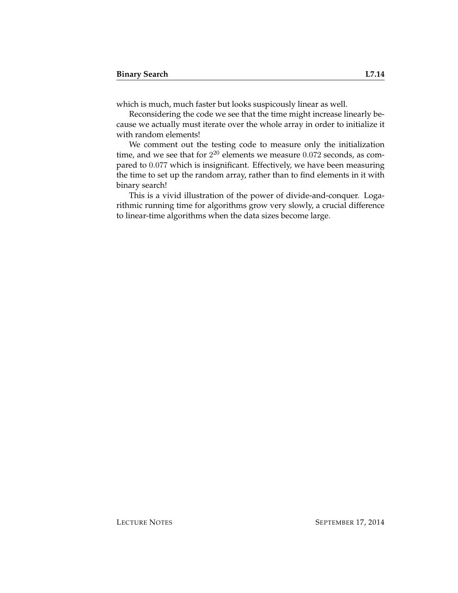which is much, much faster but looks suspicously linear as well.

Reconsidering the code we see that the time might increase linearly because we actually must iterate over the whole array in order to initialize it with random elements!

We comment out the testing code to measure only the initialization time, and we see that for  $2^{20}$  elements we measure  $0.072$  seconds, as compared to 0.077 which is insignificant. Effectively, we have been measuring the time to set up the random array, rather than to find elements in it with binary search!

This is a vivid illustration of the power of divide-and-conquer. Logarithmic running time for algorithms grow very slowly, a crucial difference to linear-time algorithms when the data sizes become large.